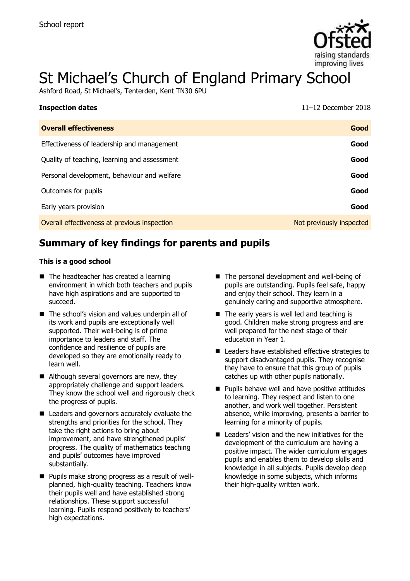

# St Michael's Church of England Primary School

Ashford Road, St Michael's, Tenterden, Kent TN30 6PU

| <b>Inspection dates</b>                      | $11-12$ December 2018    |
|----------------------------------------------|--------------------------|
| <b>Overall effectiveness</b>                 | Good                     |
| Effectiveness of leadership and management   | Good                     |
| Quality of teaching, learning and assessment | Good                     |
| Personal development, behaviour and welfare  | Good                     |
| Outcomes for pupils                          | Good                     |
| Early years provision                        | Good                     |
| Overall effectiveness at previous inspection | Not previously inspected |

# **Summary of key findings for parents and pupils**

#### **This is a good school**

- The headteacher has created a learning environment in which both teachers and pupils have high aspirations and are supported to succeed.
- The school's vision and values underpin all of its work and pupils are exceptionally well supported. Their well-being is of prime importance to leaders and staff. The confidence and resilience of pupils are developed so they are emotionally ready to learn well.
- Although several governors are new, they appropriately challenge and support leaders. They know the school well and rigorously check the progress of pupils.
- Leaders and governors accurately evaluate the strengths and priorities for the school. They take the right actions to bring about improvement, and have strengthened pupils' progress. The quality of mathematics teaching and pupils' outcomes have improved substantially.
- **Pupils make strong progress as a result of well**planned, high-quality teaching. Teachers know their pupils well and have established strong relationships. These support successful learning. Pupils respond positively to teachers' high expectations.
- The personal development and well-being of pupils are outstanding. Pupils feel safe, happy and enjoy their school. They learn in a genuinely caring and supportive atmosphere.
- The early years is well led and teaching is good. Children make strong progress and are well prepared for the next stage of their education in Year 1.
- Leaders have established effective strategies to support disadvantaged pupils. They recognise they have to ensure that this group of pupils catches up with other pupils nationally.
- **Pupils behave well and have positive attitudes** to learning. They respect and listen to one another, and work well together. Persistent absence, while improving, presents a barrier to learning for a minority of pupils.
- Leaders' vision and the new initiatives for the development of the curriculum are having a positive impact. The wider curriculum engages pupils and enables them to develop skills and knowledge in all subjects. Pupils develop deep knowledge in some subjects, which informs their high-quality written work.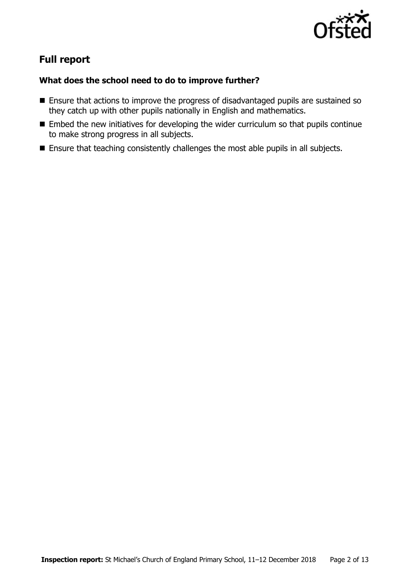

# **Full report**

### **What does the school need to do to improve further?**

- **Ensure that actions to improve the progress of disadvantaged pupils are sustained so** they catch up with other pupils nationally in English and mathematics.
- **Embed the new initiatives for developing the wider curriculum so that pupils continue** to make strong progress in all subjects.
- **Ensure that teaching consistently challenges the most able pupils in all subjects.**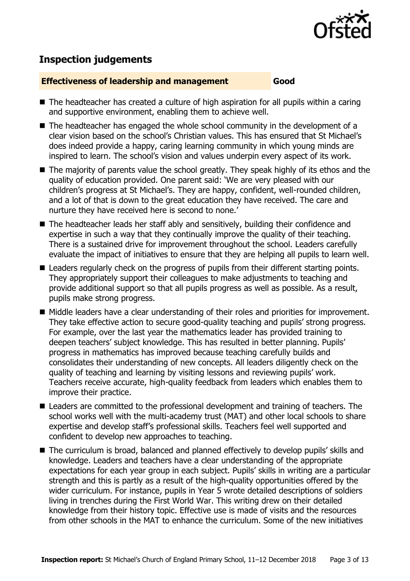

## **Inspection judgements**

#### **Effectiveness of leadership and management Good**

- The headteacher has created a culture of high aspiration for all pupils within a caring and supportive environment, enabling them to achieve well.
- The headteacher has engaged the whole school community in the development of a clear vision based on the school's Christian values. This has ensured that St Michael's does indeed provide a happy, caring learning community in which young minds are inspired to learn. The school's vision and values underpin every aspect of its work.
- The majority of parents value the school greatly. They speak highly of its ethos and the quality of education provided. One parent said: 'We are very pleased with our children's progress at St Michael's. They are happy, confident, well-rounded children, and a lot of that is down to the great education they have received. The care and nurture they have received here is second to none.'
- The headteacher leads her staff ably and sensitively, building their confidence and expertise in such a way that they continually improve the quality of their teaching. There is a sustained drive for improvement throughout the school. Leaders carefully evaluate the impact of initiatives to ensure that they are helping all pupils to learn well.
- Leaders regularly check on the progress of pupils from their different starting points. They appropriately support their colleagues to make adjustments to teaching and provide additional support so that all pupils progress as well as possible. As a result, pupils make strong progress.
- Middle leaders have a clear understanding of their roles and priorities for improvement. They take effective action to secure good-quality teaching and pupils' strong progress. For example, over the last year the mathematics leader has provided training to deepen teachers' subject knowledge. This has resulted in better planning. Pupils' progress in mathematics has improved because teaching carefully builds and consolidates their understanding of new concepts. All leaders diligently check on the quality of teaching and learning by visiting lessons and reviewing pupils' work. Teachers receive accurate, high-quality feedback from leaders which enables them to improve their practice.
- Leaders are committed to the professional development and training of teachers. The school works well with the multi-academy trust (MAT) and other local schools to share expertise and develop staff's professional skills. Teachers feel well supported and confident to develop new approaches to teaching.
- The curriculum is broad, balanced and planned effectively to develop pupils' skills and knowledge. Leaders and teachers have a clear understanding of the appropriate expectations for each year group in each subject. Pupils' skills in writing are a particular strength and this is partly as a result of the high-quality opportunities offered by the wider curriculum. For instance, pupils in Year 5 wrote detailed descriptions of soldiers living in trenches during the First World War. This writing drew on their detailed knowledge from their history topic. Effective use is made of visits and the resources from other schools in the MAT to enhance the curriculum. Some of the new initiatives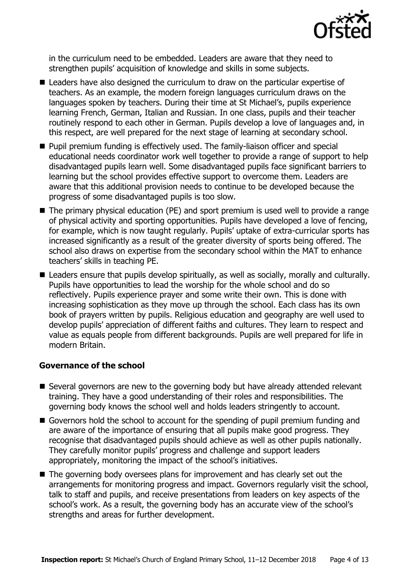

in the curriculum need to be embedded. Leaders are aware that they need to strengthen pupils' acquisition of knowledge and skills in some subjects.

- Leaders have also designed the curriculum to draw on the particular expertise of teachers. As an example, the modern foreign languages curriculum draws on the languages spoken by teachers. During their time at St Michael's, pupils experience learning French, German, Italian and Russian. In one class, pupils and their teacher routinely respond to each other in German. Pupils develop a love of languages and, in this respect, are well prepared for the next stage of learning at secondary school.
- **Pupil premium funding is effectively used. The family-liaison officer and special** educational needs coordinator work well together to provide a range of support to help disadvantaged pupils learn well. Some disadvantaged pupils face significant barriers to learning but the school provides effective support to overcome them. Leaders are aware that this additional provision needs to continue to be developed because the progress of some disadvantaged pupils is too slow.
- The primary physical education (PE) and sport premium is used well to provide a range of physical activity and sporting opportunities. Pupils have developed a love of fencing, for example, which is now taught regularly. Pupils' uptake of extra-curricular sports has increased significantly as a result of the greater diversity of sports being offered. The school also draws on expertise from the secondary school within the MAT to enhance teachers' skills in teaching PE.
- Leaders ensure that pupils develop spiritually, as well as socially, morally and culturally. Pupils have opportunities to lead the worship for the whole school and do so reflectively. Pupils experience prayer and some write their own. This is done with increasing sophistication as they move up through the school. Each class has its own book of prayers written by pupils. Religious education and geography are well used to develop pupils' appreciation of different faiths and cultures. They learn to respect and value as equals people from different backgrounds. Pupils are well prepared for life in modern Britain.

#### **Governance of the school**

- Several governors are new to the governing body but have already attended relevant training. They have a good understanding of their roles and responsibilities. The governing body knows the school well and holds leaders stringently to account.
- Governors hold the school to account for the spending of pupil premium funding and are aware of the importance of ensuring that all pupils make good progress. They recognise that disadvantaged pupils should achieve as well as other pupils nationally. They carefully monitor pupils' progress and challenge and support leaders appropriately, monitoring the impact of the school's initiatives.
- The governing body oversees plans for improvement and has clearly set out the arrangements for monitoring progress and impact. Governors regularly visit the school, talk to staff and pupils, and receive presentations from leaders on key aspects of the school's work. As a result, the governing body has an accurate view of the school's strengths and areas for further development.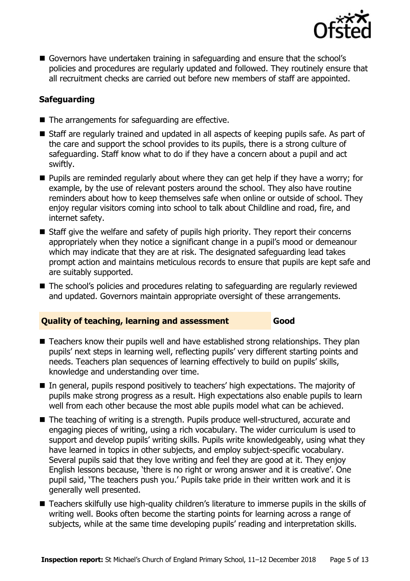

 Governors have undertaken training in safeguarding and ensure that the school's policies and procedures are regularly updated and followed. They routinely ensure that all recruitment checks are carried out before new members of staff are appointed.

#### **Safeguarding**

- $\blacksquare$  The arrangements for safeguarding are effective.
- Staff are regularly trained and updated in all aspects of keeping pupils safe. As part of the care and support the school provides to its pupils, there is a strong culture of safeguarding. Staff know what to do if they have a concern about a pupil and act swiftly.
- **Pupils are reminded regularly about where they can get help if they have a worry; for** example, by the use of relevant posters around the school. They also have routine reminders about how to keep themselves safe when online or outside of school. They enjoy regular visitors coming into school to talk about Childline and road, fire, and internet safety.
- Staff give the welfare and safety of pupils high priority. They report their concerns appropriately when they notice a significant change in a pupil's mood or demeanour which may indicate that they are at risk. The designated safeguarding lead takes prompt action and maintains meticulous records to ensure that pupils are kept safe and are suitably supported.
- The school's policies and procedures relating to safeguarding are regularly reviewed and updated. Governors maintain appropriate oversight of these arrangements.

#### **Quality of teaching, learning and assessment Good**

- Teachers know their pupils well and have established strong relationships. They plan pupils' next steps in learning well, reflecting pupils' very different starting points and needs. Teachers plan sequences of learning effectively to build on pupils' skills, knowledge and understanding over time.
- In general, pupils respond positively to teachers' high expectations. The majority of pupils make strong progress as a result. High expectations also enable pupils to learn well from each other because the most able pupils model what can be achieved.
- The teaching of writing is a strength. Pupils produce well-structured, accurate and engaging pieces of writing, using a rich vocabulary. The wider curriculum is used to support and develop pupils' writing skills. Pupils write knowledgeably, using what they have learned in topics in other subjects, and employ subject-specific vocabulary. Several pupils said that they love writing and feel they are good at it. They enjoy English lessons because, 'there is no right or wrong answer and it is creative'. One pupil said, 'The teachers push you.' Pupils take pride in their written work and it is generally well presented.
- Teachers skilfully use high-quality children's literature to immerse pupils in the skills of writing well. Books often become the starting points for learning across a range of subjects, while at the same time developing pupils' reading and interpretation skills.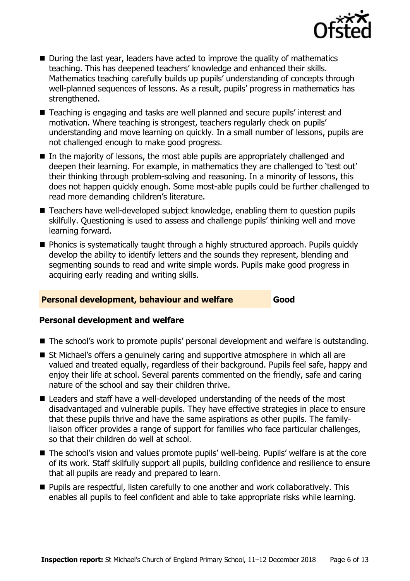

- During the last year, leaders have acted to improve the quality of mathematics teaching. This has deepened teachers' knowledge and enhanced their skills. Mathematics teaching carefully builds up pupils' understanding of concepts through well-planned sequences of lessons. As a result, pupils' progress in mathematics has strengthened.
- Teaching is engaging and tasks are well planned and secure pupils' interest and motivation. Where teaching is strongest, teachers regularly check on pupils' understanding and move learning on quickly. In a small number of lessons, pupils are not challenged enough to make good progress.
- In the majority of lessons, the most able pupils are appropriately challenged and deepen their learning. For example, in mathematics they are challenged to 'test out' their thinking through problem-solving and reasoning. In a minority of lessons, this does not happen quickly enough. Some most-able pupils could be further challenged to read more demanding children's literature.
- Teachers have well-developed subject knowledge, enabling them to question pupils skilfully. Questioning is used to assess and challenge pupils' thinking well and move learning forward.
- **Phonics is systematically taught through a highly structured approach. Pupils quickly** develop the ability to identify letters and the sounds they represent, blending and segmenting sounds to read and write simple words. Pupils make good progress in acquiring early reading and writing skills.

#### **Personal development, behaviour and welfare Good**

#### **Personal development and welfare**

- The school's work to promote pupils' personal development and welfare is outstanding.
- St Michael's offers a genuinely caring and supportive atmosphere in which all are valued and treated equally, regardless of their background. Pupils feel safe, happy and enjoy their life at school. Several parents commented on the friendly, safe and caring nature of the school and say their children thrive.
- Leaders and staff have a well-developed understanding of the needs of the most disadvantaged and vulnerable pupils. They have effective strategies in place to ensure that these pupils thrive and have the same aspirations as other pupils. The familyliaison officer provides a range of support for families who face particular challenges, so that their children do well at school.
- The school's vision and values promote pupils' well-being. Pupils' welfare is at the core of its work. Staff skilfully support all pupils, building confidence and resilience to ensure that all pupils are ready and prepared to learn.
- **Pupils are respectful, listen carefully to one another and work collaboratively. This** enables all pupils to feel confident and able to take appropriate risks while learning.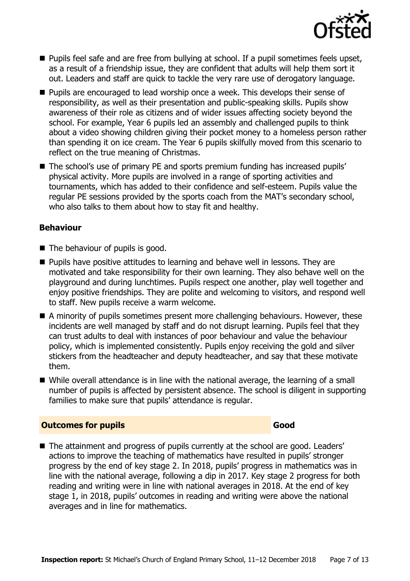

- **Pupils feel safe and are free from bullying at school. If a pupil sometimes feels upset,** as a result of a friendship issue, they are confident that adults will help them sort it out. Leaders and staff are quick to tackle the very rare use of derogatory language.
- **Pupils are encouraged to lead worship once a week. This develops their sense of** responsibility, as well as their presentation and public-speaking skills. Pupils show awareness of their role as citizens and of wider issues affecting society beyond the school. For example, Year 6 pupils led an assembly and challenged pupils to think about a video showing children giving their pocket money to a homeless person rather than spending it on ice cream. The Year 6 pupils skilfully moved from this scenario to reflect on the true meaning of Christmas.
- The school's use of primary PE and sports premium funding has increased pupils' physical activity. More pupils are involved in a range of sporting activities and tournaments, which has added to their confidence and self-esteem. Pupils value the regular PE sessions provided by the sports coach from the MAT's secondary school, who also talks to them about how to stay fit and healthy.

#### **Behaviour**

- The behaviour of pupils is good.
- **Pupils have positive attitudes to learning and behave well in lessons. They are** motivated and take responsibility for their own learning. They also behave well on the playground and during lunchtimes. Pupils respect one another, play well together and enjoy positive friendships. They are polite and welcoming to visitors, and respond well to staff. New pupils receive a warm welcome.
- A minority of pupils sometimes present more challenging behaviours. However, these incidents are well managed by staff and do not disrupt learning. Pupils feel that they can trust adults to deal with instances of poor behaviour and value the behaviour policy, which is implemented consistently. Pupils enjoy receiving the gold and silver stickers from the headteacher and deputy headteacher, and say that these motivate them.
- While overall attendance is in line with the national average, the learning of a small number of pupils is affected by persistent absence. The school is diligent in supporting families to make sure that pupils' attendance is regular.

#### **Outcomes for pupils Good**

■ The attainment and progress of pupils currently at the school are good. Leaders' actions to improve the teaching of mathematics have resulted in pupils' stronger progress by the end of key stage 2. In 2018, pupils' progress in mathematics was in line with the national average, following a dip in 2017. Key stage 2 progress for both reading and writing were in line with national averages in 2018. At the end of key stage 1, in 2018, pupils' outcomes in reading and writing were above the national averages and in line for mathematics.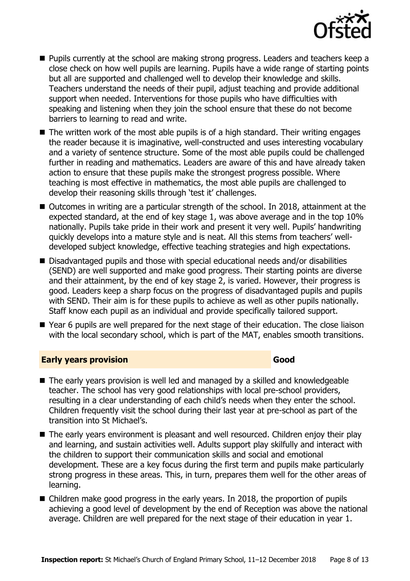

- **Pupils currently at the school are making strong progress. Leaders and teachers keep a** close check on how well pupils are learning. Pupils have a wide range of starting points but all are supported and challenged well to develop their knowledge and skills. Teachers understand the needs of their pupil, adjust teaching and provide additional support when needed. Interventions for those pupils who have difficulties with speaking and listening when they join the school ensure that these do not become barriers to learning to read and write.
- $\blacksquare$  The written work of the most able pupils is of a high standard. Their writing engages the reader because it is imaginative, well-constructed and uses interesting vocabulary and a variety of sentence structure. Some of the most able pupils could be challenged further in reading and mathematics. Leaders are aware of this and have already taken action to ensure that these pupils make the strongest progress possible. Where teaching is most effective in mathematics, the most able pupils are challenged to develop their reasoning skills through 'test it' challenges.
- Outcomes in writing are a particular strength of the school. In 2018, attainment at the expected standard, at the end of key stage 1, was above average and in the top 10% nationally. Pupils take pride in their work and present it very well. Pupils' handwriting quickly develops into a mature style and is neat. All this stems from teachers' welldeveloped subject knowledge, effective teaching strategies and high expectations.
- Disadvantaged pupils and those with special educational needs and/or disabilities (SEND) are well supported and make good progress. Their starting points are diverse and their attainment, by the end of key stage 2, is varied. However, their progress is good. Leaders keep a sharp focus on the progress of disadvantaged pupils and pupils with SEND. Their aim is for these pupils to achieve as well as other pupils nationally. Staff know each pupil as an individual and provide specifically tailored support.
- Year 6 pupils are well prepared for the next stage of their education. The close liaison with the local secondary school, which is part of the MAT, enables smooth transitions.

#### **Early years provision Good**

- The early years provision is well led and managed by a skilled and knowledgeable teacher. The school has very good relationships with local pre-school providers, resulting in a clear understanding of each child's needs when they enter the school. Children frequently visit the school during their last year at pre-school as part of the transition into St Michael's.
- The early years environment is pleasant and well resourced. Children enjoy their play and learning, and sustain activities well. Adults support play skilfully and interact with the children to support their communication skills and social and emotional development. These are a key focus during the first term and pupils make particularly strong progress in these areas. This, in turn, prepares them well for the other areas of learning.
- Children make good progress in the early years. In 2018, the proportion of pupils achieving a good level of development by the end of Reception was above the national average. Children are well prepared for the next stage of their education in year 1.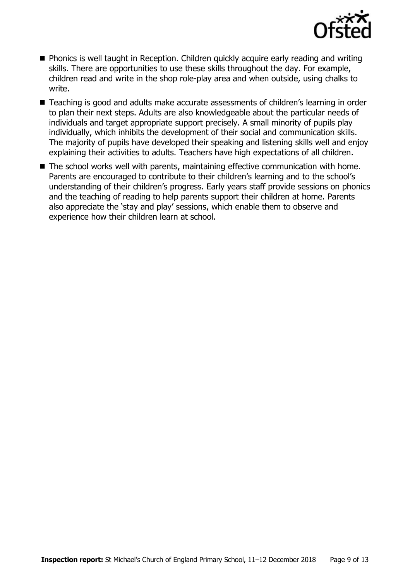

- **Phonics is well taught in Reception. Children quickly acquire early reading and writing** skills. There are opportunities to use these skills throughout the day. For example, children read and write in the shop role-play area and when outside, using chalks to write.
- Teaching is good and adults make accurate assessments of children's learning in order to plan their next steps. Adults are also knowledgeable about the particular needs of individuals and target appropriate support precisely. A small minority of pupils play individually, which inhibits the development of their social and communication skills. The majority of pupils have developed their speaking and listening skills well and enjoy explaining their activities to adults. Teachers have high expectations of all children.
- The school works well with parents, maintaining effective communication with home. Parents are encouraged to contribute to their children's learning and to the school's understanding of their children's progress. Early years staff provide sessions on phonics and the teaching of reading to help parents support their children at home. Parents also appreciate the 'stay and play' sessions, which enable them to observe and experience how their children learn at school.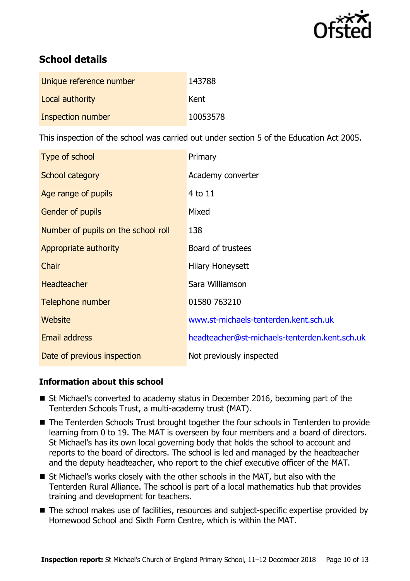

# **School details**

| Unique reference number | 143788   |
|-------------------------|----------|
| Local authority         | Kent     |
| Inspection number       | 10053578 |

This inspection of the school was carried out under section 5 of the Education Act 2005.

| Type of school                      | Primary                                       |
|-------------------------------------|-----------------------------------------------|
| School category                     | Academy converter                             |
| Age range of pupils                 | $4$ to $11$                                   |
| Gender of pupils                    | Mixed                                         |
| Number of pupils on the school roll | 138                                           |
| Appropriate authority               | Board of trustees                             |
| Chair                               | Hilary Honeysett                              |
| <b>Headteacher</b>                  | Sara Williamson                               |
| Telephone number                    | 01580 763210                                  |
| Website                             | www.st-michaels-tenterden.kent.sch.uk         |
| <b>Email address</b>                | headteacher@st-michaels-tenterden.kent.sch.uk |
| Date of previous inspection         | Not previously inspected                      |

#### **Information about this school**

- St Michael's converted to academy status in December 2016, becoming part of the Tenterden Schools Trust, a multi-academy trust (MAT).
- The Tenterden Schools Trust brought together the four schools in Tenterden to provide learning from 0 to 19. The MAT is overseen by four members and a board of directors. St Michael's has its own local governing body that holds the school to account and reports to the board of directors. The school is led and managed by the headteacher and the deputy headteacher, who report to the chief executive officer of the MAT.
- St Michael's works closely with the other schools in the MAT, but also with the Tenterden Rural Alliance. The school is part of a local mathematics hub that provides training and development for teachers.
- The school makes use of facilities, resources and subject-specific expertise provided by Homewood School and Sixth Form Centre, which is within the MAT.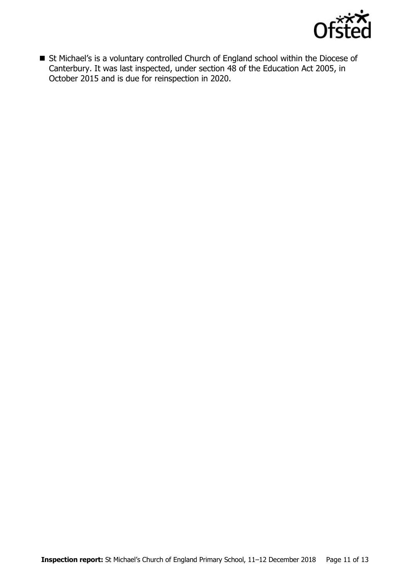

■ St Michael's is a voluntary controlled Church of England school within the Diocese of Canterbury. It was last inspected, under section 48 of the Education Act 2005, in October 2015 and is due for reinspection in 2020.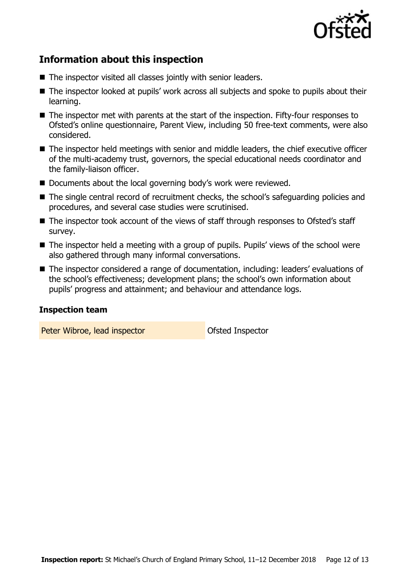

# **Information about this inspection**

- The inspector visited all classes jointly with senior leaders.
- The inspector looked at pupils' work across all subjects and spoke to pupils about their learning.
- The inspector met with parents at the start of the inspection. Fifty-four responses to Ofsted's online questionnaire, Parent View, including 50 free-text comments, were also considered.
- The inspector held meetings with senior and middle leaders, the chief executive officer of the multi-academy trust, governors, the special educational needs coordinator and the family-liaison officer.
- Documents about the local governing body's work were reviewed.
- The single central record of recruitment checks, the school's safeguarding policies and procedures, and several case studies were scrutinised.
- The inspector took account of the views of staff through responses to Ofsted's staff survey.
- The inspector held a meeting with a group of pupils. Pupils' views of the school were also gathered through many informal conversations.
- The inspector considered a range of documentation, including: leaders' evaluations of the school's effectiveness; development plans; the school's own information about pupils' progress and attainment; and behaviour and attendance logs.

#### **Inspection team**

Peter Wibroe, lead inspector **Deter Wibroe, lead inspector**